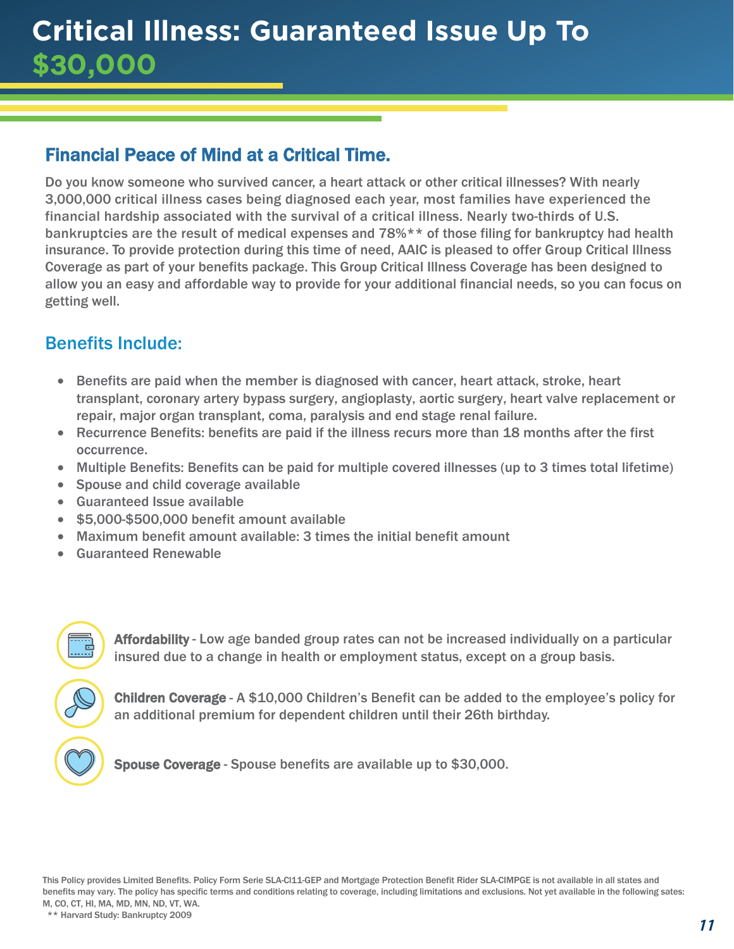# Financial Peace of Mind at a Critical Time.

Do you know someone who survived cancer, a heart attack or other critical illnesses? With nearly 3,000,000 critical illness cases being diagnosed each year, most families have experienced the financial hardship associated with the survival of a critical illness. Nearly two-thirds of U.S. bankruptcies are the result of medical expenses and 78%\*\* of those filing for bankruptcy had health insurance. To provide protection during this time of need, AAIC is pleased to offer Group Critical Illness Coverage as part of your benefits package. This Group Critical Illness Coverage has been designed to allow you an easy and affordable way to provide for your additional financial needs, so you can focus on getting well.

## Benefits Include:

- Benefits are paid when the member is diagnosed with cancer, heart attack, stroke, heart transplant, coronary artery bypass surgery, angioplasty, aortic surgery, heart valve replacement or repair, major organ transplant, coma, paralysis and end stage renal failure.
- Recurrence Benefits: benefits are paid if the illness recurs more than 18 months after the first occurrence.
- Multiple Benefits: Benefits can be paid for multiple covered illnesses (up to 3 times total lifetime)
- Spouse and child coverage available
- Guaranteed Issue available
- \$5,000-\$500,000 benefit amount available
- Maximum benefit amount available: 3 times the initial benefit amount
- Guaranteed Renewable

Affordability - Low age banded group rates can not be increased individually on a particular insured due to a change in health or employment status, except on a group basis.

Children Coverage - A \$10,000 Children's Benefit can be added to the employee's policy for an additional premium for dependent children until their 26th birthday.

Spouse Coverage - Spouse benefits are available up to \$30,000.

This Policy provides Limited Benefits. Policy Form Serie SLA-Cl11-GEP and Mortgage Protection Benefit Rider SLA-CIMPGE is not available in all states and benefits may vary. The policy has specific terms and conditions relating to coverage, including limitations and exclusions. Not yet available in the following sates: M, CO, CT, HI, MA, MD, MN, ND, VT, WA.